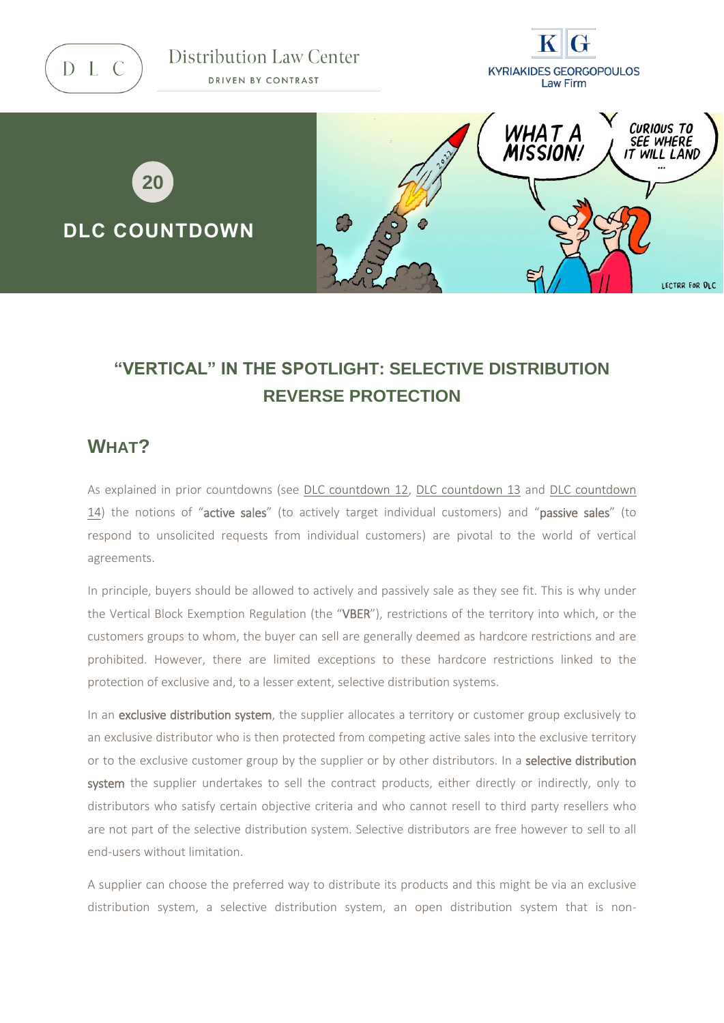D L C

Distribution Law Center DRIVEN BY CONTRAST





# **"VERTICAL" IN THE SPOTLIGHT: SELECTIVE DISTRIBUTION REVERSE PROTECTION**

#### **WHAT?**

As explained in prior countdowns (see [DLC countdown](https://www.distributionlawcenter.com/news-analysis/distribution-law-center-countdown-xii-active-sales-restrictions-exclusivity-condition/) 12, [DLC countdown 13](https://www.distributionlawcenter.com/news-analysis/distribution-law-center-countdown-xiii-active-sales-restrictions-parallel-imposition-requirement/) and [DLC countdown](https://www.distributionlawcenter.com/news-analysis/distribution-law-center-countdown-xiv-active-sales-restrictions-rolling-over-prohibition/)  [14\)](https://www.distributionlawcenter.com/news-analysis/distribution-law-center-countdown-xiv-active-sales-restrictions-rolling-over-prohibition/) the notions of "active sales" (to actively target individual customers) and "passive sales" (to respond to unsolicited requests from individual customers) are pivotal to the world of vertical agreements.

In principle, buyers should be allowed to actively and passively sale as they see fit. This is why under the Vertical Block Exemption Regulation (the "VBER"), restrictions of the territory into which, or the customers groups to whom, the buyer can sell are generally deemed as hardcore restrictions and are prohibited. However, there are limited exceptions to these hardcore restrictions linked to the protection of exclusive and, to a lesser extent, selective distribution systems.

In an exclusive distribution system, the supplier allocates a territory or customer group exclusively to an exclusive distributor who is then protected from competing active sales into the exclusive territory or to the exclusive customer group by the supplier or by other distributors. In a **selective distribution** system the supplier undertakes to sell the contract products, either directly or indirectly, only to distributors who satisfy certain objective criteria and who cannot resell to third party resellers who are not part of the selective distribution system. Selective distributors are free however to sell to all end-users without limitation.

A supplier can choose the preferred way to distribute its products and this might be via an exclusive distribution system, a selective distribution system, an open distribution system that is non-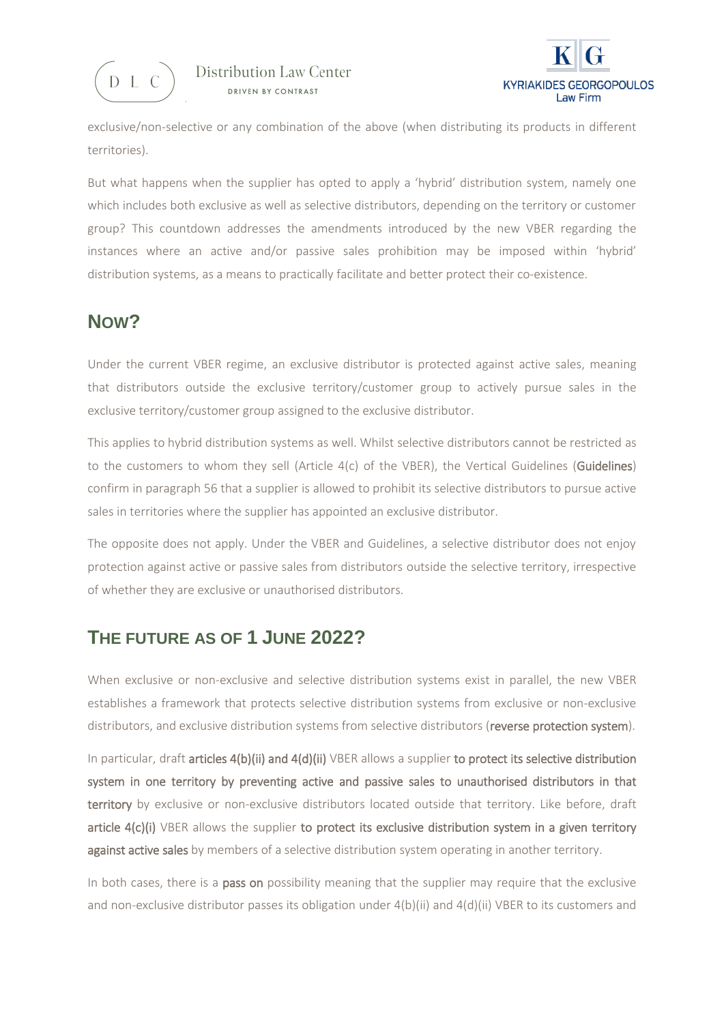



exclusive/non-selective or any combination of the above (when distributing its products in different territories).

But what happens when the supplier has opted to apply a 'hybrid' distribution system, namely one which includes both exclusive as well as selective distributors, depending on the territory or customer group? This countdown addresses the amendments introduced by the new VBER regarding the instances where an active and/or passive sales prohibition may be imposed within 'hybrid' distribution systems, as a means to practically facilitate and better protect their co-existence.

#### **NOW?**

Under the current VBER regime, an exclusive distributor is protected against active sales, meaning that distributors outside the exclusive territory/customer group to actively pursue sales in the exclusive territory/customer group assigned to the exclusive distributor.

This applies to hybrid distribution systems as well. Whilst selective distributors cannot be restricted as to the customers to whom they sell (Article 4(c) of the VBER), the Vertical Guidelines (Guidelines) confirm in paragraph 56 that a supplier is allowed to prohibit its selective distributors to pursue active sales in territories where the supplier has appointed an exclusive distributor.

The opposite does not apply. Under the VBER and Guidelines, a selective distributor does not enjoy protection against active or passive sales from distributors outside the selective territory, irrespective of whether they are exclusive or unauthorised distributors.

#### **THE FUTURE AS OF 1 JUNE 2022?**

When exclusive or non-exclusive and selective distribution systems exist in parallel, the new VBER establishes a framework that protects selective distribution systems from exclusive or non-exclusive distributors, and exclusive distribution systems from selective distributors (reverse protection system).

In particular, draft articles  $4(b)(ii)$  and  $4(d)(ii)$  VBER allows a supplier to protect its selective distribution system in one territory by preventing active and passive sales to unauthorised distributors in that territory by exclusive or non-exclusive distributors located outside that territory. Like before, draft article 4(c)(i) VBER allows the supplier to protect its exclusive distribution system in a given territory against active sales by members of a selective distribution system operating in another territory.

In both cases, there is a pass on possibility meaning that the supplier may require that the exclusive and non-exclusive distributor passes its obligation under 4(b)(ii) and 4(d)(ii) VBER to its customers and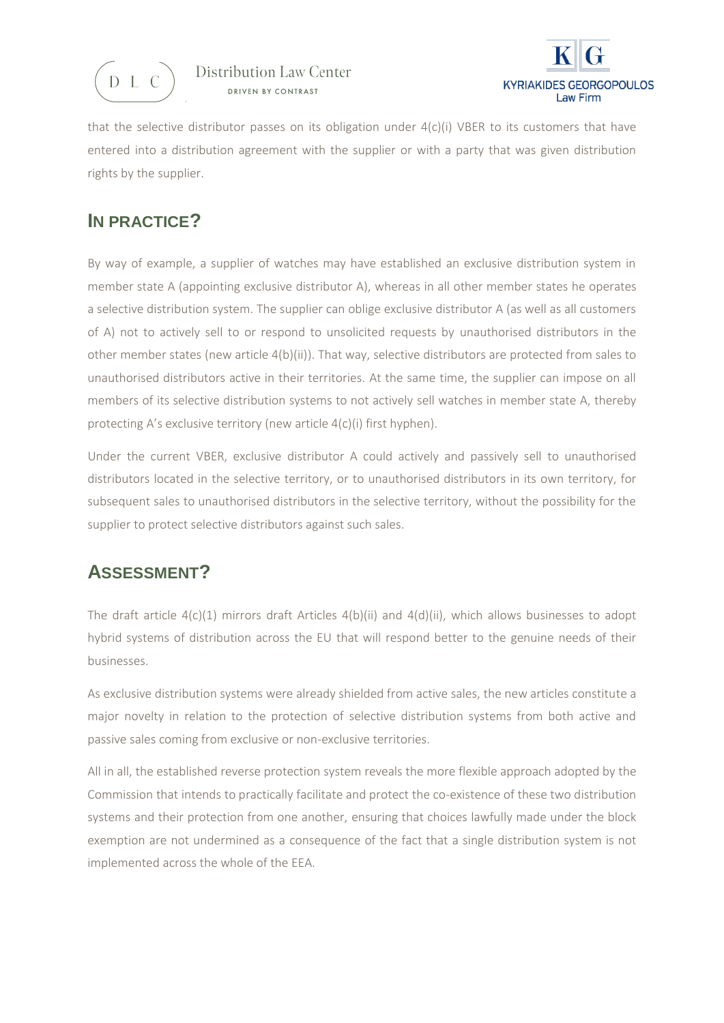



that the selective distributor passes on its obligation under 4(c)(i) VBER to its customers that have entered into a distribution agreement with the supplier or with a party that was given distribution rights by the supplier.

### **IN PRACTICE?**

By way of example, a supplier of watches may have established an exclusive distribution system in member state A (appointing exclusive distributor A), whereas in all other member states he operates a selective distribution system. The supplier can oblige exclusive distributor A (as well as all customers of A) not to actively sell to or respond to unsolicited requests by unauthorised distributors in the other member states (new article 4(b)(ii)). That way, selective distributors are protected from sales to unauthorised distributors active in their territories. At the same time, the supplier can impose on all members of its selective distribution systems to not actively sell watches in member state A, thereby protecting A's exclusive territory (new article 4(c)(i) first hyphen).

Under the current VBER, exclusive distributor A could actively and passively sell to unauthorised distributors located in the selective territory, or to unauthorised distributors in its own territory, for subsequent sales to unauthorised distributors in the selective territory, without the possibility for the supplier to protect selective distributors against such sales.

## **ASSESSMENT?**

The draft article  $4(c)(1)$  mirrors draft Articles  $4(b)(ii)$  and  $4(d)(ii)$ , which allows businesses to adopt hybrid systems of distribution across the EU that will respond better to the genuine needs of their businesses.

As exclusive distribution systems were already shielded from active sales, the new articles constitute a major novelty in relation to the protection of selective distribution systems from both active and passive sales coming from exclusive or non-exclusive territories.

All in all, the established reverse protection system reveals the more flexible approach adopted by the Commission that intends to practically facilitate and protect the co-existence of these two distribution systems and their protection from one another, ensuring that choices lawfully made under the block exemption are not undermined as a consequence of the fact that a single distribution system is not implemented across the whole of the EEA.